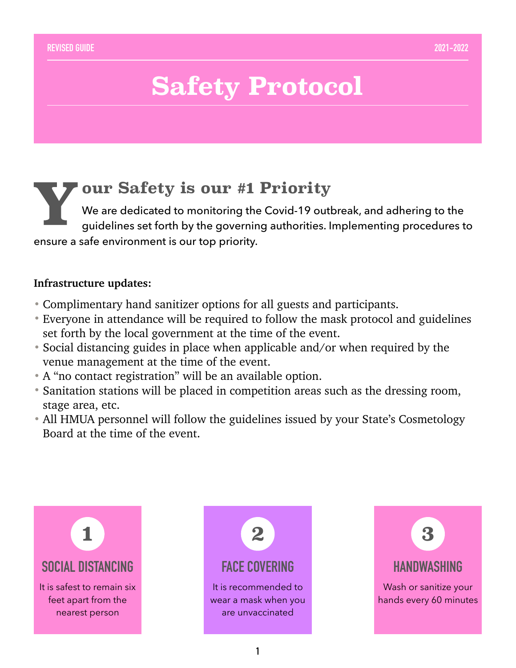## **Safety Protocol**

### **Your Safety is our #1 Priority**<br>We are dedicated to monitoring the Covid-19 outb<br>guidelines set forth by the governing authorities. In We are dedicated to monitoring the Covid-19 outbreak, and adhering to the guidelines set forth by the governing authorities. Implementing procedures to ensure a safe environment is our top priority.

### **Infrastructure updates:**

- Complimentary hand sanitizer options for all guests and participants.
- Everyone in attendance will be required to follow the mask protocol and guidelines set forth by the local government at the time of the event.
- Social distancing guides in place when applicable and/or when required by the venue management at the time of the event.
- A "no contact registration" will be an available option.
- Sanitation stations will be placed in competition areas such as the dressing room, stage area, etc.
- All HMUA personnel will follow the guidelines issued by your State's Cosmetology Board at the time of the event.





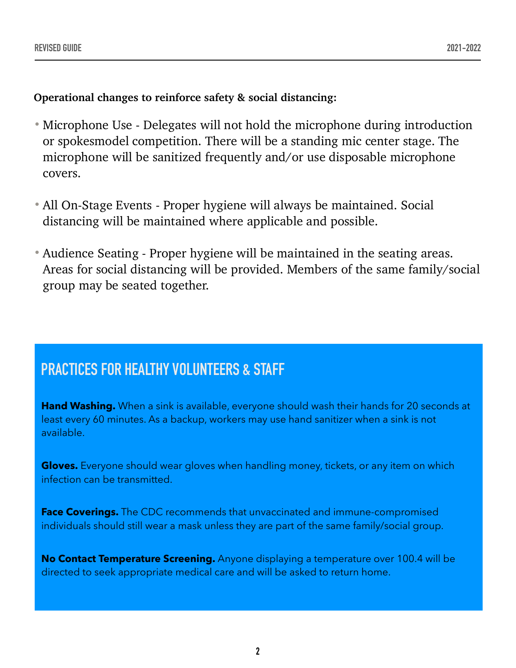**Operational changes to reinforce safety & social distancing:** 

- Microphone Use Delegates will not hold the microphone during introduction or spokesmodel competition. There will be a standing mic center stage. The microphone will be sanitized frequently and/or use disposable microphone covers.
- All On-Stage Events Proper hygiene will always be maintained. Social distancing will be maintained where applicable and possible.
- Audience Seating Proper hygiene will be maintained in the seating areas. Areas for social distancing will be provided. Members of the same family/social group may be seated together.

## **PRACTICES FOR HEALTHY VOLUNTEERS & STAFF**

**Hand Washing.** When a sink is available, everyone should wash their hands for 20 seconds at least every 60 minutes. As a backup, workers may use hand sanitizer when a sink is not available.

**Gloves.** Everyone should wear gloves when handling money, tickets, or any item on which infection can be transmitted.

**Face Coverings.** The CDC recommends that unvaccinated and immune-compromised individuals should still wear a mask unless they are part of the same family/social group.

**No Contact Temperature Screening.** Anyone displaying a temperature over 100.4 will be directed to seek appropriate medical care and will be asked to return home.